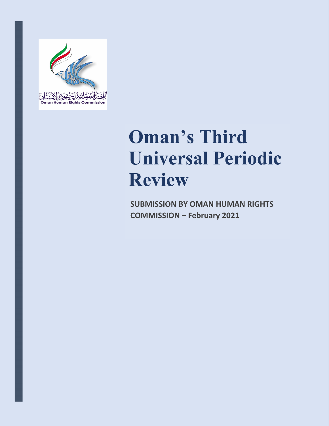

# **Oman'<sup>s</sup> Third Universal Periodic Review**

**SUBMISSION BY OMAN HUMAN RIGHTS COMMISSION – February 2021**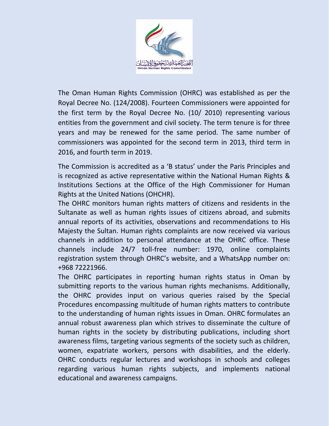

The Oman Human Rights Commission (OHRC) was established as per the Royal Decree No. (124/2008). Fourteen Commissioners were appointed for the first term by the Royal Decree No. (10/ 2010) representing various entities from the government and civil society. The term tenure is for three years and may be renewed for the same period. The same number of commissioners was appointed for the second term in 2013, third term in 2016, and fourth term in 2019.

The Commission is accredited as <sup>a</sup> 'B status' under the Paris Principles and is recognized as active representative within the National Human Rights & Institutions Sections at the Office of the High Commissioner for Human Rights at the United Nations (OHCHR).

The OHRC monitors human rights matters of citizens and residents in the Sultanate as well as human rights issues of citizens abroad, and submits annual reports of its activities, observations and recommendations to His Majesty the Sultan. Human rights complaints are now received via various channels in addition to personal attendance at the OHRC office. These channels include 24/7 toll-free number: 1970, online complaints registration system through OHRC'<sup>s</sup> website, and <sup>a</sup> WhatsApp number on: +968 72221966.

The OHRC participates in reporting human rights status in Oman by submitting reports to the various human rights mechanisms. Additionally, the OHRC provides input on various queries raised by the Special Procedures encompassing multitude of human rights matters to contribute to the understanding of human rights issues in Oman. OHRC formulates an annual robust awareness plan which strives to disseminate the culture of human rights in the society by distributing publications, including short awareness films, targeting various segments of the society such as children, women, expatriate workers, persons with disabilities, and the elderly. OHRC conducts regular lectures and workshops in schools and colleges regarding various human rights subjects, and implements national educational and awareness campaigns.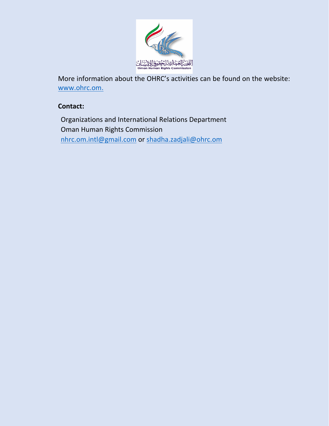

More information about the OHRC'<sup>s</sup> activities can be found on the website: [www.ohrc.om](http://www.ohrc.om).

## **Contact:**

Organizations and International Relations Department Oman Human Rights Commission [nhrc.om.intl@gmail.com](mailto:nhrc.om.intl@gmail.com) or [shadha.zadjali@ohrc.om](mailto:shadha.zadjali@ohrc.om)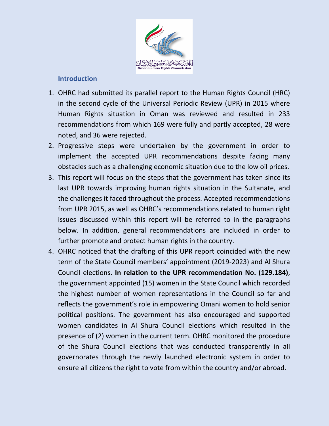

## **Introduction**

- 1. OHRC had submitted its parallel report to the Human Rights Council (HRC) in the second cycle of the Universal Periodic Review (UPR) in 2015 where Human Rights situation in Oman was reviewed and resulted in 233 recommendations from which 169 were fully and partly accepted, 28 were noted, and 36 were rejected.
- 2. Progressive steps were undertaken by the government in order to implement the accepted UPR recommendations despite facing many obstacles such as <sup>a</sup> challenging economic situation due to the low oil prices.
- 3. This report will focus on the steps that the government has taken since its last UPR towards improving human rights situation in the Sultanate, and the challenges it faced throughout the process. Accepted recommendations from UPR 2015, as well as OHRC'<sup>s</sup> recommendations related to human right issues discussed within this report will be referred to in the paragraphs below. In addition, general recommendations are included in order to further promote and protect human rights in the country.
- 4. OHRC noticed that the drafting of this UPR report coincided with the new term of the State Council members' appointment (2019-2023) and Al Shura Council elections. **In relation to the UPR recommendation No. (129.184)**, the government appointed (15) women in the State Council which recorded the highest number of women representations in the Council so far and reflects the government'<sup>s</sup> role in empowering Omani women to hold senior political positions. The government has also encouraged and supported women candidates in Al Shura Council elections which resulted in the presence of (2) women in the current term. OHRC monitored the procedure of the Shura Council elections that was conducted transparently in all governorates through the newly launched electronic system in order to ensure all citizens the right to vote from within the country and/or abroad.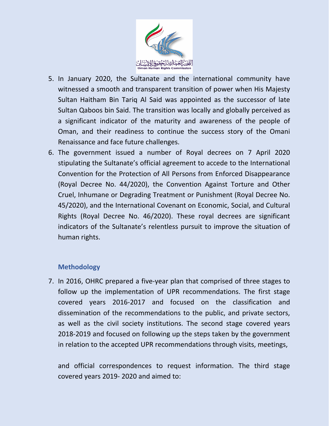

- 5. In January 2020, the Sultanate and the international community have witnessed <sup>a</sup> smooth and transparent transition of power when His Majesty Sultan Haitham Bin Tariq Al Said was appointed as the successor of late Sultan Qaboos bin Said. The transition was locally and globally perceived as <sup>a</sup> significant indicator of the maturity and awareness of the people of Oman, and their readiness to continue the success story of the Omani Renaissance and face future challenges.
- 6. The government issued <sup>a</sup> number of Royal decrees on 7 April 2020 stipulating the Sultanate'<sup>s</sup> official agreement to accede to the International Convention for the Protection of All Persons from Enforced Disappearance (Royal Decree No. 44/2020), the Convention Against Torture and Other Cruel, Inhumane or Degrading Treatment or Punishment (Royal Decree No. 45/2020), and the International Covenant on Economic, Social, and Cultural Rights (Royal Decree No. 46/2020). These royal decrees are significant indicators of the Sultanate'<sup>s</sup> relentless pursuit to improve the situation of human rights.

## **Methodology**

7. In 2016, OHRC prepared <sup>a</sup> five-year plan that comprised of three stages to follow up the implementation of UPR recommendations. The first stage covered years 2016-2017 and focused on the classification and dissemination of the recommendations to the public, and private sectors, as well as the civil society institutions. The second stage covered years 2018-2019 and focused on following up the steps taken by the government in relation to the accepted UPR recommendations through visits, meetings,

and official correspondences to request information. The third stage covered years 2019- 2020 and aimed to: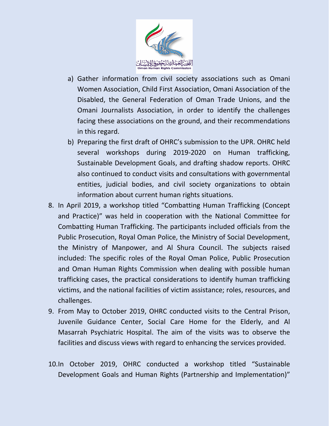

- a) Gather information from civil society associations such as Omani Women Association, Child First Association, Omani Association of the Disabled, the General Federation of Oman Trade Unions, and the Omani Journalists Association, in order to identify the challenges facing these associations on the ground, and their recommendations in this regard.
- b) Preparing the first draft of OHRC'<sup>s</sup> submission to the UPR. OHRC held several workshops during 2019-2020 on Human trafficking, Sustainable Development Goals, and drafting shadow reports. OHRC also continued to conduct visits and consultations with governmental entities, judicial bodies, and civil society organizations to obtain information about current human rights situations.
- 8. In April 2019, <sup>a</sup> workshop titled "Combatting Human Trafficking (Concept and Practice)" was held in cooperation with the National Committee for Combatting Human Trafficking. The participants included officials from the Public Prosecution, Royal Oman Police, the Ministry of Social Development, the Ministry of Manpower, and Al Shura Council. The subjects raised included: The specific roles of the Royal Oman Police, Public Prosecution and Oman Human Rights Commission when dealing with possible human trafficking cases, the practical considerations to identify human trafficking victims, and the national facilities of victim assistance; roles, resources, and challenges.
- 9. From May to October 2019, OHRC conducted visits to the Central Prison, Juvenile Guidance Center, Social Care Home for the Elderly, and Al Masarrah Psychiatric Hospital. The aim of the visits was to observe the facilities and discuss views with regard to enhancing the services provided.
- 10.In October 2019, OHRC conducted <sup>a</sup> workshop titled "Sustainable Development Goals and Human Rights (Partnership and Implementation)"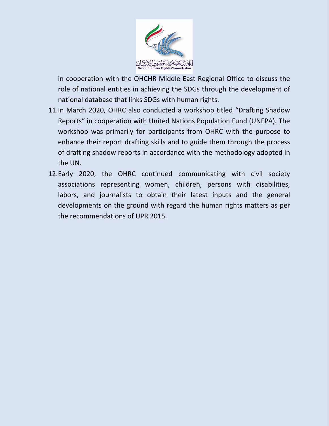

in cooperation with the OHCHR Middle East Regional Office to discuss the role of national entities in achieving the SDGs through the development of national database that links SDGs with human rights.

- 11.In March 2020, OHRC also conducted <sup>a</sup> workshop titled "Drafting Shadow Reports" in cooperation with United Nations Population Fund (UNFPA). The workshop was primarily for participants from OHRC with the purpose to enhance their report drafting skills and to guide them through the process of drafting shadow reports in accordance with the methodology adopted in the UN.
- 12.Early 2020, the OHRC continued communicating with civil society associations representing women, children, persons with disabilities, labors, and journalists to obtain their latest inputs and the general developments on the ground with regard the human rights matters as per the recommendations of UPR 2015.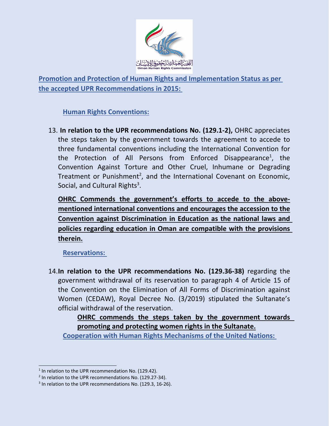

**Promotion and Protection of Human Rights and Implementation Status as per the accepted UPR Recommendations in 2015:**

**Human Rights Conventions:**

13. **In relation to the UPR recommendations No. (129.1-2),** OHRC appreciates the steps taken by the government towards the agreement to accede to three fundamental conventions including the International Convention for the Protection of All Persons from Enforced Disappearance<sup>1</sup>, the Convention Against Torture and Other Cruel, Inhumane or Degrading Treatment or Punishment<sup>2</sup>, and the International Covenant on Economic, Social, and Cultural Rights<sup>3</sup>.

**OHRC Commends the government'<sup>s</sup> efforts to accede to the abovementioned international conventions and encourages the accession to the Convention against Discrimination in Education as the national laws and policies regarding education in Oman are compatible with the provisions therein.**

**Reservations:**

14.**In relation to the UPR recommendations No. (129.36-38)** regarding the government withdrawal of its reservation to paragraph 4 of Article 15 of the Convention on the Elimination of All Forms of Discrimination against Women (CEDAW), Royal Decree No. (3/2019) stipulated the Sultanate'<sup>s</sup> official withdrawal of the reservation.

**OHRC commends the steps taken by the government towards promoting and protecting women rights in the Sultanate.**

**Cooperation with Human Rights Mechanisms of the United Nations:**

<sup>&</sup>lt;sup>1</sup> In relation to the UPR recommendation No. (129.42).

<sup>&</sup>lt;sup>2</sup> In relation to the UPR recommendations No. (129.27-34).

<sup>&</sup>lt;sup>3</sup> In relation to the UPR recommendations No. (129.3, 16-26).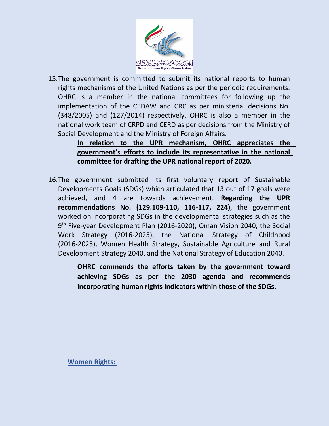

15.The government is committed to submit its national reports to human rights mechanisms of the United Nations as per the periodic requirements. OHRC is <sup>a</sup> member in the national committees for following up the implementation of the CEDAW and CRC as per ministerial decisions No. (348/2005) and (127/2014) respectively. OHRC is also <sup>a</sup> member in the national work team of CRPD and CERD as per decisions from the Ministry of Social Development and the Ministry of Foreign Affairs.

> **In relation to the UPR mechanism, OHRC appreciates the government'<sup>s</sup> efforts to include its representative in the national committee for drafting the UPR national report of 2020.**

16.The government submitted its first voluntary report of Sustainable Developments Goals (SDGs) which articulated that 13 out of 17 goals were achieved, and 4 are towards achievement. **Regarding the UPR recommendations No. (129.109-110, 116-117, 224)**, the government worked on incorporating SDGs in the developmental strategies such as the 9<sup>th</sup> Five-year Development Plan (2016-2020), Oman Vision 2040, the Social Work Strategy (2016-2025), the National Strategy of Childhood (2016-2025), Women Health Strategy, Sustainable Agriculture and Rural Development Strategy 2040, and the National Strategy of Education 2040.

> **OHRC commends the efforts taken by the government toward achieving SDGs as per the 2030 agenda and recommends incorporating human rights indicators within those of the SDGs.**

**Women Rights:**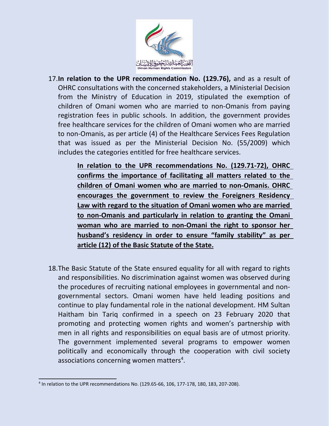

- 17.**In relation to the UPR recommendation No. (129.76),** and as <sup>a</sup> result of OHRC consultations with the concerned stakeholders, <sup>a</sup> Ministerial Decision from the Ministry of Education in 2019, stipulated the exemption of children of Omani women who are married to non-Omanis from paying registration fees in public schools. In addition, the government provides free healthcare services for the children of Omani women who are married to non-Omanis, as per article (4) of the Healthcare Services Fees Regulation that was issued as per the Ministerial Decision No. (55/2009) which includes the categories entitled for free healthcare services.
	- **In relation to the UPR recommendations No. (129.71-72), OHRC confirms the importance of facilitating all matters related to the children of Omani women who are married to non-Omanis. OHRC encourages the government to review the Foreigners Residency Law with regard to the situation of Omani women who are married to non-Omanis and particularly in relation to granting the Omani woman who are married to non-Omani the right to sponsor her husband'<sup>s</sup> residency in order to ensure "family stability" as per article (12) of the Basic Statute of the State.**
- 18.The Basic Statute of the State ensured equality for all with regard to rights and responsibilities. No discrimination against women was observed during the procedures of recruiting national employees in governmental and nongovernmental sectors. Omani women have held leading positions and continue to play fundamental role in the national development. HM Sultan Haitham bin Tariq confirmed in <sup>a</sup> speech on 23 February 2020 that promoting and protecting women rights and women'<sup>s</sup> partnership with men in all rights and responsibilities on equal basis are of utmost priority. The government implemented several programs to empower women politically and economically through the cooperation with civil society associations concerning women matters<sup>4</sup>.

<sup>4</sup> In relation to the UPR recommendations No. (129.65-66, 106, 177-178, 180, 183, 207-208).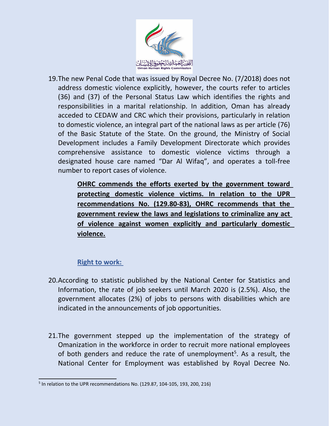

19.The new Penal Code that was issued by Royal Decree No. (7/2018) does not address domestic violence explicitly, however, the courts refer to articles (36) and (37) of the Personal Status Law which identifies the rights and responsibilities in <sup>a</sup> marital relationship. In addition, Oman has already acceded to CEDAW and CRC which their provisions, particularly in relation to domestic violence, an integral part of the national laws as per article (76) of the Basic Statute of the State. On the ground, the Ministry of Social Development includes <sup>a</sup> Family Development Directorate which provides comprehensive assistance to domestic violence victims through <sup>a</sup> designated house care named "Dar Al Wifaq", and operates <sup>a</sup> toll-free number to report cases of violence.

> **OHRC commends the efforts exerted by the government toward protecting domestic violence victims. In relation to the UPR recommendations No. (129.80-83), OHRC recommends that the government review the laws and legislations to criminalize any act of violence against women explicitly and particularly domestic violence.**

## **Right to work:**

- 20.According to statistic published by the National Center for Statistics and Information, the rate of job seekers until March 2020 is (2.5%). Also, the government allocates (2%) of jobs to persons with disabilities which are indicated in the announcements of job opportunities.
- 21.The government stepped up the implementation of the strategy of Omanization in the workforce in order to recruit more national employees of both genders and reduce the rate of unemployment<sup>5</sup>. As a result, the National Center for Employment was established by Royal Decree No.

<sup>5</sup> In relation to the UPR recommendations No. (129.87, 104-105, 193, 200, 216)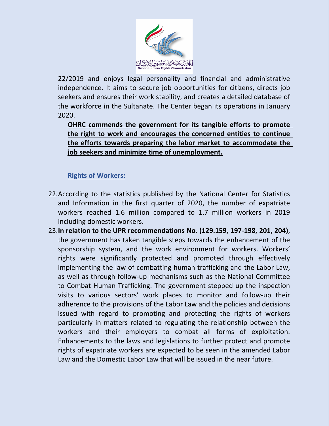

22/2019 and enjoys legal personality and financial and administrative independence. It aims to secure job opportunities for citizens, directs job seekers and ensures their work stability, and creates <sup>a</sup> detailed database of the workforce in the Sultanate. The Center began its operations in January 2020.

**OHRC commends the government for its tangible efforts to promote the right to work and encourages the concerned entities to continue the efforts towards preparing the labor market to accommodate the job seekers and minimize time of unemployment.**

# **Rights of Workers:**

- 22.According to the statistics published by the National Center for Statistics and Information in the first quarter of 2020, the number of expatriate workers reached 1.6 million compared to 1.7 million workers in 2019 including domestic workers.
- 23.**In relation to the UPR recommendations No. (129.159, 197-198, 201, 204)**, the government has taken tangible steps towards the enhancement of the sponsorship system, and the work environment for workers. Workers' rights were significantly protected and promoted through effectively implementing the law of combatting human trafficking and the Labor Law, as well as through follow-up mechanisms such as the National Committee to Combat Human Trafficking. The government stepped up the inspection visits to various sectors' work places to monitor and follow-up their adherence to the provisions of the Labor Law and the policies and decisions issued with regard to promoting and protecting the rights of workers particularly in matters related to regulating the relationship between the workers and their employers to combat all forms of exploitation. Enhancements to the laws and legislations to further protect and promote rights of expatriate workers are expected to be seen in the amended Labor Law and the Domestic Labor Law that will be issued in the near future.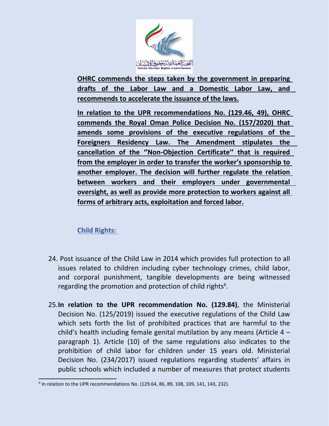

**OHRC commends the steps taken by the government in preparing drafts of the Labor Law and <sup>a</sup> Domestic Labor Law, and recommends to accelerate the issuance of the laws.**

**In relation to the UPR recommendations No. (129.46, 49), OHRC commends the Royal Oman Police Decision No. (157/2020) that amends some provisions of the executive regulations of the Foreigners Residency Law. The Amendment stipulates the cancellation of the ''Non-Objection Certificate'' that is required from the employer in order to transfer the worker'<sup>s</sup> sponsorship to another employer. The decision will further regulate the relation between workers and their employers under governmental oversight, as well as provide more protection to workers against all forms of arbitrary acts, exploitation and forced labor.**

# **Child Rights:**

- 24. Post issuance of the Child Law in 2014 which provides full protection to all issues related to children including cyber technology crimes, child labor, and corporal punishment, tangible developments are being witnessed regarding the promotion and protection of child rights<sup>6</sup>.
- 25.**In relation to the UPR recommendation No. (129.84)**, the Ministerial Decision No. (125/2019) issued the executive regulations of the Child Law which sets forth the list of prohibited practices that are harmful to the child'<sup>s</sup> health including female genital mutilation by any means (Article 4 – paragraph 1). Article (10) of the same regulations also indicates to the prohibition of child labor for children under 15 years old. Ministerial Decision No. (234/2017) issued regulations regarding students' affairs in public schools which included <sup>a</sup> number of measures that protect students

<sup>&</sup>lt;sup>6</sup> In relation to the UPR recommendations No. (129.64, 86, 89, 108, 109, 141, 143, 232).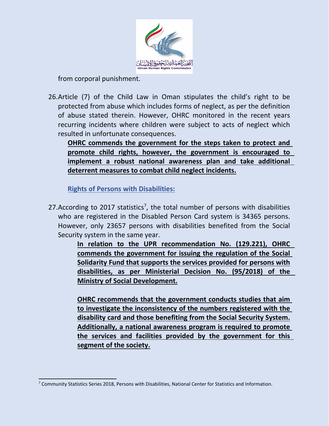

from corporal punishment.

26.Article (7) of the Child Law in Oman stipulates the child'<sup>s</sup> right to be protected from abuse which includes forms of neglect, as per the definition of abuse stated therein. However, OHRC monitored in the recent years recurring incidents where children were subject to acts of neglect which resulted in unfortunate consequences.

**OHRC commends the government for the steps taken to protect and promote child rights, however, the government is encouraged to implement <sup>a</sup> robust national awareness plan and take additional deterrent measures to combat child neglect incidents.**

**Rights of Persons with Disabilities:**

27.According to 2017 statistics<sup>7</sup>, the total number of persons with disabilities who are registered in the Disabled Person Card system is 34365 persons. However, only 23657 persons with disabilities benefited from the Social Security system in the same year.

> **In relation to the UPR recommendation No. (129.221), OHRC commends the government for issuing the regulation of the Social Solidarity Fund that supports the services provided for persons with disabilities, as per Ministerial Decision No. (95/2018) of the Ministry of Social Development.**

> **OHRC recommends that the government conducts studies that aim to investigate the inconsistency of the numbers registered with the disability card and those benefiting from the Social Security System. Additionally, <sup>a</sup> national awareness program is required to promote the services and facilities provided by the government for this segment of the society.**

<sup>7</sup> Community Statistics Series 2018, Persons with Disabilities, National Center for Statistics and Information.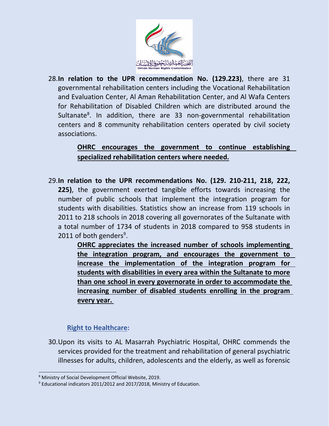

28.**In relation to the UPR recommendation No. (129.223)**, there are 31 governmental rehabilitation centers including the Vocational Rehabilitation and Evaluation Center, Al Aman Rehabilitation Center, and Al Wafa Centers for Rehabilitation of Disabled Children which are distributed around the Sultanate<sup>8</sup>. In addition, there are 33 non-governmental rehabilitation centers and 8 community rehabilitation centers operated by civil society associations.

> **OHRC encourages the government to continue establishing specialized rehabilitation centers where needed.**

29.**In relation to the UPR recommendations No. (129. 210-211, 218, 222, 225)**, the government exerted tangible efforts towards increasing the number of public schools that implement the integration program for students with disabilities. Statistics show an increase from 119 schools in 2011 to 218 schools in 2018 covering all governorates of the Sultanate with <sup>a</sup> total number of 1734 of students in 2018 compared to 958 students in 2011 of both genders $^9$ .

> **OHRC appreciates the increased number of schools implementing the integration program, and encourages the government to increase the implementation of the integration program for students with disabilities in every area within the Sultanate to more than one school in every governorate in order to accommodate the increasing number of disabled students enrolling in the program every year.**

## **Right to Healthcare:**

30.Upon its visits to AL Masarrah Psychiatric Hospital, OHRC commends the services provided for the treatment and rehabilitation of general psychiatric illnesses for adults, children, adolescents and the elderly, as well as forensic

<sup>8</sup> Ministry of Social Development Official Website, 2019.

<sup>&</sup>lt;sup>9</sup> Educational indicators 2011/2012 and 2017/2018, Ministry of Education.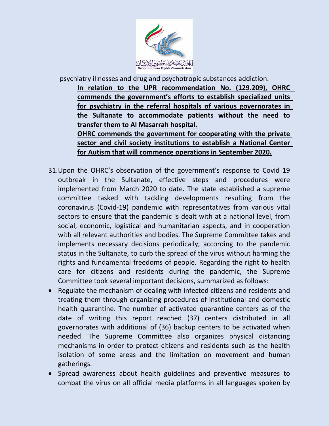

psychiatry illnesses and drug and psychotropic substances addiction.

**In relation to the UPR recommendation No. (129.209), OHRC commends the government'<sup>s</sup> efforts to establish specialized units for psychiatry in the referral hospitals of various governorates in the Sultanate to accommodate patients without the need to transfer them to Al Masarrah hospital. OHRC commends the government for cooperating with the private**

**sector and civil society institutions to establish <sup>a</sup> National Center for Autism that will commence operations in September 2020.**

- 31.Upon the OHRC'<sup>s</sup> observation of the government'<sup>s</sup> response to Covid 19 outbreak in the Sultanate, effective steps and procedures were implemented from March 2020 to date. The state established <sup>a</sup> supreme committee tasked with tackling developments resulting from the coronavirus (Covid-19) pandemic with representatives from various vital sectors to ensure that the pandemic is dealt with at <sup>a</sup> national level, from social, economic, logistical and humanitarian aspects, and in cooperation with all relevant authorities and bodies. The Supreme Committee takes and implements necessary decisions periodically, according to the pandemic status in the Sultanate, to curb the spread of the virus without harming the rights and fundamental freedoms of people. Regarding the right to health care for citizens and residents during the pandemic, the Supreme Committee took several important decisions, summarized as follows:
- Regulate the mechanism of dealing with infected citizens and residents and treating them through organizing procedures of institutional and domestic health quarantine. The number of activated quarantine centers as of the date of writing this report reached (37) centers distributed in all governorates with additional of (36) backup centers to be activated when needed. The Supreme Committee also organizes physical distancing mechanisms in order to protect citizens and residents such as the health isolation of some areas and the limitation on movement and human gatherings.
- Spread awareness about health guidelines and preventive measures to combat the virus on all official media platforms in all languages spoken by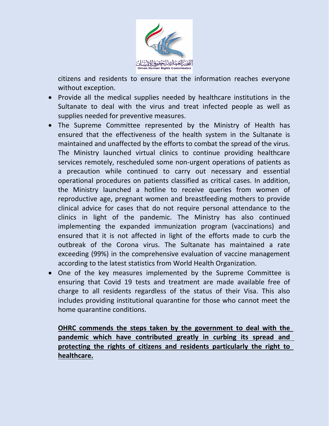

citizens and residents to ensure that the information reaches everyone without exception.

- Provide all the medical supplies needed by healthcare institutions in the Sultanate to deal with the virus and treat infected people as well as supplies needed for preventive measures.
- The Supreme Committee represented by the Ministry of Health has ensured that the effectiveness of the health system in the Sultanate is maintained and unaffected by the efforts to combat the spread of the virus. The Ministry launched virtual clinics to continue providing healthcare services remotely, rescheduled some non-urgent operations of patients as <sup>a</sup> precaution while continued to carry out necessary and essential operational procedures on patients classified as critical cases. In addition, the Ministry launched <sup>a</sup> hotline to receive queries from women of reproductive age, pregnant women and breastfeeding mothers to provide clinical advice for cases that do not require personal attendance to the clinics in light of the pandemic. The Ministry has also continued implementing the expanded immunization program (vaccinations) and ensured that it is not affected in light of the efforts made to curb the outbreak of the Corona virus. The Sultanate has maintained <sup>a</sup> rate exceeding (99%) in the comprehensive evaluation of vaccine management according to the latest statistics from World Health Organization.
- One of the key measures implemented by the Supreme Committee is ensuring that Covid 19 tests and treatment are made available free of charge to all residents regardless of the status of their Visa. This also includes providing institutional quarantine for those who cannot meet the home quarantine conditions.

**OHRC commends the steps taken by the government to deal with the pandemic which have contributed greatly in curbing its spread and protecting the rights of citizens and residents particularly the right to healthcare.**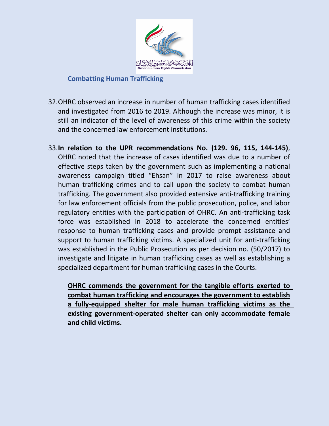

## **Combatting Human Trafficking**

- 32.OHRC observed an increase in number of human trafficking cases identified and investigated from 2016 to 2019. Although the increase was minor, it is still an indicator of the level of awareness of this crime within the society and the concerned law enforcement institutions.
- 33.**In relation to the UPR recommendations No. (129. 96, 115, 144-145)**, OHRC noted that the increase of cases identified was due to <sup>a</sup> number of effective steps taken by the government such as implementing <sup>a</sup> national awareness campaign titled "Ehsan" in 2017 to raise awareness about human trafficking crimes and to call upon the society to combat human trafficking. The government also provided extensive anti-trafficking training for law enforcement officials from the public prosecution, police, and labor regulatory entities with the participation of OHRC. An anti-trafficking task force was established in 2018 to accelerate the concerned entities' response to human trafficking cases and provide prompt assistance and support to human trafficking victims. A specialized unit for anti-trafficking was established in the Public Prosecution as per decision no. (50/2017) to investigate and litigate in human trafficking cases as well as establishing <sup>a</sup> specialized department for human trafficking cases in the Courts.

**OHRC commends the government for the tangible efforts exerted to combat human trafficking and encourages the government to establish <sup>a</sup> fully-equipped shelter for male human trafficking victims as the existing government-operated shelter can only accommodate female and child victims.**